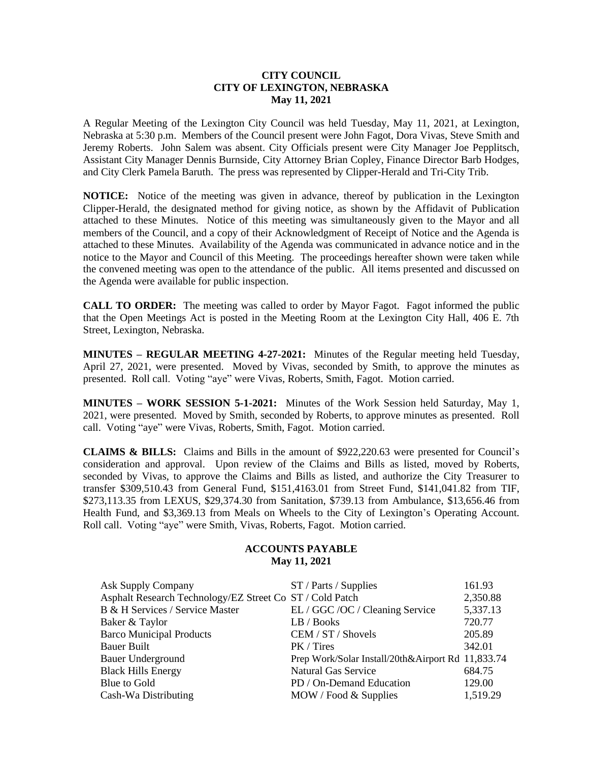## **CITY COUNCIL CITY OF LEXINGTON, NEBRASKA May 11, 2021**

A Regular Meeting of the Lexington City Council was held Tuesday, May 11, 2021, at Lexington, Nebraska at 5:30 p.m. Members of the Council present were John Fagot, Dora Vivas, Steve Smith and Jeremy Roberts. John Salem was absent. City Officials present were City Manager Joe Pepplitsch, Assistant City Manager Dennis Burnside, City Attorney Brian Copley, Finance Director Barb Hodges, and City Clerk Pamela Baruth. The press was represented by Clipper-Herald and Tri-City Trib.

**NOTICE:** Notice of the meeting was given in advance, thereof by publication in the Lexington Clipper-Herald, the designated method for giving notice, as shown by the Affidavit of Publication attached to these Minutes. Notice of this meeting was simultaneously given to the Mayor and all members of the Council, and a copy of their Acknowledgment of Receipt of Notice and the Agenda is attached to these Minutes. Availability of the Agenda was communicated in advance notice and in the notice to the Mayor and Council of this Meeting. The proceedings hereafter shown were taken while the convened meeting was open to the attendance of the public. All items presented and discussed on the Agenda were available for public inspection.

**CALL TO ORDER:** The meeting was called to order by Mayor Fagot. Fagot informed the public that the Open Meetings Act is posted in the Meeting Room at the Lexington City Hall, 406 E. 7th Street, Lexington, Nebraska.

**MINUTES – REGULAR MEETING 4-27-2021:** Minutes of the Regular meeting held Tuesday, April 27, 2021, were presented. Moved by Vivas, seconded by Smith, to approve the minutes as presented. Roll call. Voting "aye" were Vivas, Roberts, Smith, Fagot. Motion carried.

**MINUTES – WORK SESSION 5-1-2021:** Minutes of the Work Session held Saturday, May 1, 2021, were presented. Moved by Smith, seconded by Roberts, to approve minutes as presented. Roll call. Voting "aye" were Vivas, Roberts, Smith, Fagot. Motion carried.

**CLAIMS & BILLS:** Claims and Bills in the amount of \$922,220.63 were presented for Council's consideration and approval. Upon review of the Claims and Bills as listed, moved by Roberts, seconded by Vivas, to approve the Claims and Bills as listed, and authorize the City Treasurer to transfer \$309,510.43 from General Fund, \$151,4163.01 from Street Fund, \$141,041.82 from TIF, \$273,113.35 from LEXUS, \$29,374.30 from Sanitation, \$739.13 from Ambulance, \$13,656.46 from Health Fund, and \$3,369.13 from Meals on Wheels to the City of Lexington's Operating Account. Roll call. Voting "aye" were Smith, Vivas, Roberts, Fagot. Motion carried.

## **ACCOUNTS PAYABLE May 11, 2021**

| <b>Ask Supply Company</b>                                | ST / Parts / Supplies                             | 161.93   |
|----------------------------------------------------------|---------------------------------------------------|----------|
| Asphalt Research Technology/EZ Street Co ST / Cold Patch |                                                   | 2,350.88 |
| B & H Services / Service Master                          | EL / GGC / OC / Cleaning Service                  | 5,337.13 |
| Baker & Taylor                                           | LB / Books                                        | 720.77   |
| <b>Barco Municipal Products</b>                          | CEM / ST / Shovels                                | 205.89   |
| <b>Bauer Built</b>                                       | PK / Tires                                        | 342.01   |
| <b>Bauer Underground</b>                                 | Prep Work/Solar Install/20th&Airport Rd 11,833.74 |          |
| <b>Black Hills Energy</b>                                | <b>Natural Gas Service</b>                        | 684.75   |
| Blue to Gold                                             | PD / On-Demand Education                          | 129.00   |
| Cash-Wa Distributing                                     | MOW / Food & Supplies                             | 1,519.29 |
|                                                          |                                                   |          |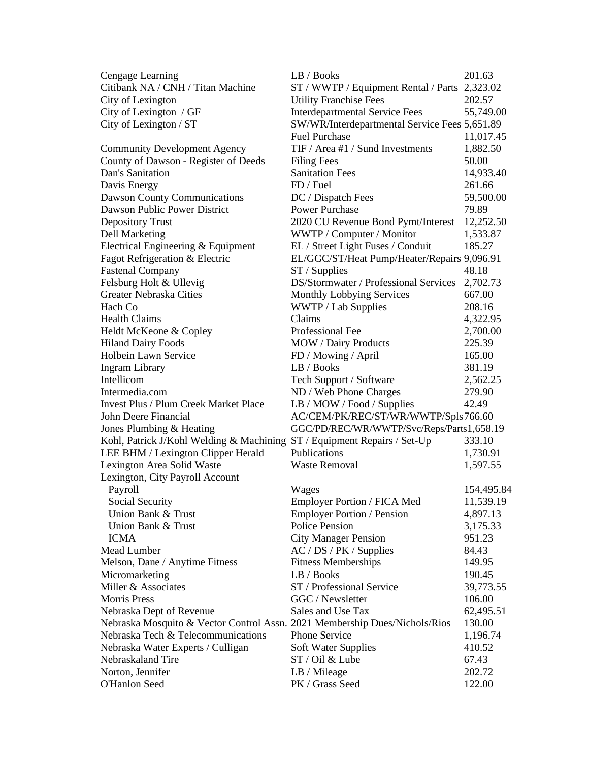| Cengage Learning                                                           | LB / Books                                    | 201.63     |
|----------------------------------------------------------------------------|-----------------------------------------------|------------|
| Citibank NA / CNH / Titan Machine                                          | ST / WWTP / Equipment Rental / Parts 2,323.02 |            |
| City of Lexington                                                          | <b>Utility Franchise Fees</b>                 | 202.57     |
| City of Lexington / GF                                                     | <b>Interdepartmental Service Fees</b>         | 55,749.00  |
| City of Lexington / ST                                                     | SW/WR/Interdepartmental Service Fees 5,651.89 |            |
|                                                                            | <b>Fuel Purchase</b>                          | 11,017.45  |
| <b>Community Development Agency</b>                                        | TIF / Area #1 / Sund Investments              | 1,882.50   |
| County of Dawson - Register of Deeds                                       | <b>Filing Fees</b>                            | 50.00      |
| Dan's Sanitation                                                           | <b>Sanitation Fees</b>                        | 14,933.40  |
| Davis Energy                                                               | FD / Fuel                                     | 261.66     |
| <b>Dawson County Communications</b>                                        | DC / Dispatch Fees                            | 59,500.00  |
| Dawson Public Power District                                               | <b>Power Purchase</b>                         | 79.89      |
| <b>Depository Trust</b>                                                    | 2020 CU Revenue Bond Pymt/Interest            | 12,252.50  |
| Dell Marketing                                                             | WWTP / Computer / Monitor                     | 1,533.87   |
| Electrical Engineering & Equipment                                         | EL / Street Light Fuses / Conduit             | 185.27     |
| Fagot Refrigeration & Electric                                             | EL/GGC/ST/Heat Pump/Heater/Repairs 9,096.91   |            |
| <b>Fastenal Company</b>                                                    | $ST /$ Supplies                               | 48.18      |
| Felsburg Holt & Ullevig                                                    | DS/Stormwater / Professional Services         | 2,702.73   |
| Greater Nebraska Cities                                                    | Monthly Lobbying Services                     | 667.00     |
| Hach Co                                                                    | WWTP / Lab Supplies                           | 208.16     |
| <b>Health Claims</b>                                                       | Claims                                        | 4,322.95   |
| Heldt McKeone & Copley                                                     | Professional Fee                              | 2,700.00   |
| <b>Hiland Dairy Foods</b>                                                  | <b>MOW</b> / Dairy Products                   | 225.39     |
| Holbein Lawn Service                                                       | FD / Mowing / April                           | 165.00     |
| <b>Ingram Library</b>                                                      | LB / Books                                    | 381.19     |
| Intellicom                                                                 | Tech Support / Software                       | 2,562.25   |
| Intermedia.com                                                             | ND / Web Phone Charges                        | 279.90     |
| <b>Invest Plus / Plum Creek Market Place</b>                               | LB / MOW / Food / Supplies                    | 42.49      |
| John Deere Financial                                                       | AC/CEM/PK/REC/ST/WR/WWTP/Spls766.60           |            |
| Jones Plumbing & Heating                                                   | GGC/PD/REC/WR/WWTP/Svc/Reps/Parts1,658.19     |            |
| Kohl, Patrick J/Kohl Welding & Machining                                   | ST / Equipment Repairs / Set-Up               | 333.10     |
| LEE BHM / Lexington Clipper Herald                                         | Publications                                  | 1,730.91   |
| Lexington Area Solid Waste                                                 | <b>Waste Removal</b>                          | 1,597.55   |
| Lexington, City Payroll Account                                            |                                               |            |
| Payroll                                                                    | Wages                                         | 154,495.84 |
| Social Security                                                            | Employer Portion / FICA Med                   | 11,539.19  |
| Union Bank & Trust                                                         | <b>Employer Portion / Pension</b>             | 4,897.13   |
| Union Bank & Trust                                                         | <b>Police Pension</b>                         | 3,175.33   |
| <b>ICMA</b>                                                                | <b>City Manager Pension</b>                   | 951.23     |
| Mead Lumber                                                                | AC / DS / PK / Supplies                       | 84.43      |
| Melson, Dane / Anytime Fitness                                             | <b>Fitness Memberships</b>                    | 149.95     |
| Micromarketing                                                             | LB / Books                                    | 190.45     |
| Miller & Associates                                                        | ST / Professional Service                     | 39,773.55  |
| <b>Morris Press</b>                                                        | GGC / Newsletter                              | 106.00     |
| Nebraska Dept of Revenue                                                   | Sales and Use Tax                             | 62,495.51  |
| Nebraska Mosquito & Vector Control Assn. 2021 Membership Dues/Nichols/Rios |                                               | 130.00     |
| Nebraska Tech & Telecommunications                                         | <b>Phone Service</b>                          | 1,196.74   |
| Nebraska Water Experts / Culligan                                          | Soft Water Supplies                           | 410.52     |
| Nebraskaland Tire                                                          | ST / Oil & Lube                               | 67.43      |
| Norton, Jennifer                                                           | LB / Mileage                                  | 202.72     |
| O'Hanlon Seed                                                              | PK / Grass Seed                               | 122.00     |
|                                                                            |                                               |            |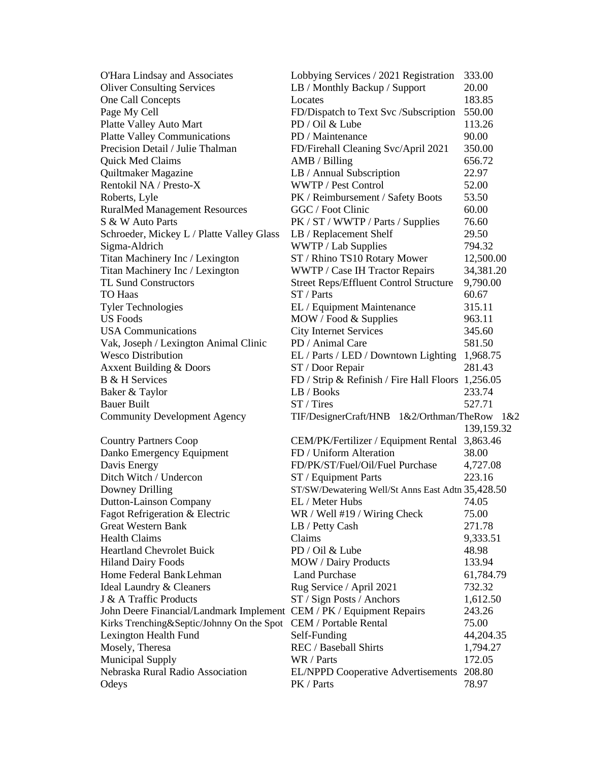| O'Hara Lindsay and Associates                                        | Lobbying Services / 2021 Registration             | 333.00     |
|----------------------------------------------------------------------|---------------------------------------------------|------------|
| <b>Oliver Consulting Services</b>                                    | LB / Monthly Backup / Support                     | 20.00      |
| One Call Concepts                                                    | Locates                                           | 183.85     |
| Page My Cell                                                         | FD/Dispatch to Text Svc /Subscription             | 550.00     |
| Platte Valley Auto Mart                                              | PD / Oil & Lube                                   | 113.26     |
| <b>Platte Valley Communications</b>                                  | PD / Maintenance                                  | 90.00      |
| Precision Detail / Julie Thalman                                     | FD/Firehall Cleaning Svc/April 2021               | 350.00     |
| Quick Med Claims                                                     | AMB / Billing                                     | 656.72     |
| Quiltmaker Magazine                                                  | LB / Annual Subscription                          | 22.97      |
| Rentokil NA / Presto-X                                               | WWTP / Pest Control                               | 52.00      |
| Roberts, Lyle                                                        | PK / Reimbursement / Safety Boots                 | 53.50      |
| <b>RuralMed Management Resources</b>                                 | GGC / Foot Clinic                                 | 60.00      |
| S & W Auto Parts                                                     | PK / ST / WWTP / Parts / Supplies                 | 76.60      |
| Schroeder, Mickey L / Platte Valley Glass                            | LB / Replacement Shelf                            | 29.50      |
| Sigma-Aldrich                                                        | WWTP / Lab Supplies                               | 794.32     |
| Titan Machinery Inc / Lexington                                      | ST / Rhino TS10 Rotary Mower                      | 12,500.00  |
| Titan Machinery Inc / Lexington                                      | WWTP / Case IH Tractor Repairs                    | 34,381.20  |
| <b>TL Sund Constructors</b>                                          | <b>Street Reps/Effluent Control Structure</b>     | 9,790.00   |
| TO Haas                                                              | ST / Parts                                        | 60.67      |
| <b>Tyler Technologies</b>                                            | EL / Equipment Maintenance                        | 315.11     |
| <b>US Foods</b>                                                      | MOW / Food & Supplies                             | 963.11     |
| <b>USA Communications</b>                                            | <b>City Internet Services</b>                     | 345.60     |
| Vak, Joseph / Lexington Animal Clinic                                | PD / Animal Care                                  | 581.50     |
| <b>Wesco Distribution</b>                                            | EL / Parts / LED / Downtown Lighting 1,968.75     |            |
| <b>Axxent Building &amp; Doors</b>                                   | ST / Door Repair                                  | 281.43     |
| <b>B</b> & H Services                                                | FD / Strip & Refinish / Fire Hall Floors 1,256.05 |            |
| Baker & Taylor                                                       | LB / Books                                        | 233.74     |
| <b>Bauer Built</b>                                                   | ST / Tires                                        | 527.71     |
| <b>Community Development Agency</b>                                  | TIF/DesignerCraft/HNB 1&2/Orthman/TheRow          | 1&2        |
|                                                                      |                                                   | 139,159.32 |
| <b>Country Partners Coop</b>                                         | CEM/PK/Fertilizer / Equipment Rental 3,863.46     |            |
| Danko Emergency Equipment                                            | FD / Uniform Alteration                           | 38.00      |
| Davis Energy                                                         | FD/PK/ST/Fuel/Oil/Fuel Purchase                   | 4,727.08   |
| Ditch Witch / Undercon                                               | ST / Equipment Parts                              | 223.16     |
| Downey Drilling                                                      | ST/SW/Dewatering Well/St Anns East Adtn 35,428.50 |            |
| Dutton-Lainson Company                                               | EL / Meter Hubs                                   | 74.05      |
| Fagot Refrigeration & Electric                                       | WR / Well #19 / Wiring Check                      | 75.00      |
| <b>Great Western Bank</b>                                            | LB / Petty Cash                                   | 271.78     |
| <b>Health Claims</b>                                                 | Claims                                            | 9,333.51   |
| <b>Heartland Chevrolet Buick</b>                                     | PD / Oil & Lube                                   | 48.98      |
| <b>Hiland Dairy Foods</b>                                            | <b>MOW</b> / Dairy Products                       | 133.94     |
| Home Federal Bank Lehman                                             | <b>Land Purchase</b>                              | 61,784.79  |
| <b>Ideal Laundry &amp; Cleaners</b>                                  | Rug Service / April 2021                          | 732.32     |
| J & A Traffic Products                                               | ST / Sign Posts / Anchors                         | 1,612.50   |
| John Deere Financial/Landmark Implement CEM / PK / Equipment Repairs |                                                   | 243.26     |
| Kirks Trenching&Septic/Johnny On the Spot                            | CEM / Portable Rental                             | 75.00      |
| Lexington Health Fund                                                | Self-Funding                                      | 44,204.35  |
| Mosely, Theresa                                                      | REC / Baseball Shirts                             | 1,794.27   |
| <b>Municipal Supply</b>                                              | WR / Parts                                        | 172.05     |
| Nebraska Rural Radio Association                                     | <b>EL/NPPD Cooperative Advertisements</b>         | 208.80     |
| Odeys                                                                | PK / Parts                                        | 78.97      |
|                                                                      |                                                   |            |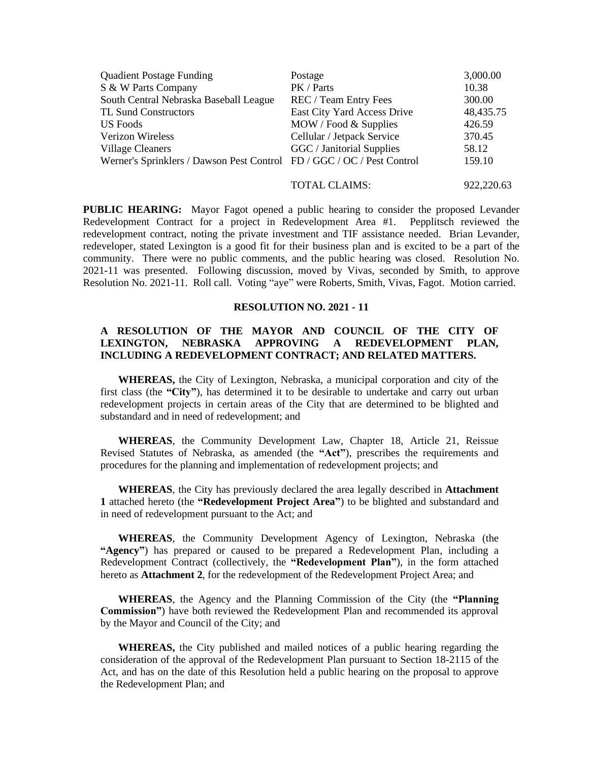| <b>Quadient Postage Funding</b>                                        | Postage                     | 3,000.00  |
|------------------------------------------------------------------------|-----------------------------|-----------|
| S & W Parts Company                                                    | PK / Parts                  | 10.38     |
| South Central Nebraska Baseball League                                 | REC / Team Entry Fees       | 300.00    |
| <b>TL Sund Constructors</b>                                            | East City Yard Access Drive | 48,435.75 |
| US Foods                                                               | MOW / Food & Supplies       | 426.59    |
| <b>Verizon Wireless</b>                                                | Cellular / Jetpack Service  | 370.45    |
| <b>Village Cleaners</b>                                                | GGC / Janitorial Supplies   | 58.12     |
| Werner's Sprinklers / Dawson Pest Control FD / GGC / OC / Pest Control |                             | 159.10    |
|                                                                        |                             |           |

TOTAL CLAIMS: 922,220.63

**PUBLIC HEARING:** Mayor Fagot opened a public hearing to consider the proposed Levander Redevelopment Contract for a project in Redevelopment Area #1. Pepplitsch reviewed the redevelopment contract, noting the private investment and TIF assistance needed. Brian Levander, redeveloper, stated Lexington is a good fit for their business plan and is excited to be a part of the community. There were no public comments, and the public hearing was closed. Resolution No. 2021-11 was presented. Following discussion, moved by Vivas, seconded by Smith, to approve Resolution No. 2021-11. Roll call. Voting "aye" were Roberts, Smith, Vivas, Fagot. Motion carried.

#### **RESOLUTION NO. 2021 - 11**

# **A RESOLUTION OF THE MAYOR AND COUNCIL OF THE CITY OF LEXINGTON, NEBRASKA APPROVING A REDEVELOPMENT PLAN, INCLUDING A REDEVELOPMENT CONTRACT; AND RELATED MATTERS.**

**WHEREAS,** the City of Lexington, Nebraska, a municipal corporation and city of the first class (the **"City"**), has determined it to be desirable to undertake and carry out urban redevelopment projects in certain areas of the City that are determined to be blighted and substandard and in need of redevelopment; and

**WHEREAS**, the Community Development Law, Chapter 18, Article 21, Reissue Revised Statutes of Nebraska, as amended (the **"Act"**), prescribes the requirements and procedures for the planning and implementation of redevelopment projects; and

**WHEREAS**, the City has previously declared the area legally described in **Attachment 1** attached hereto (the **"Redevelopment Project Area"**) to be blighted and substandard and in need of redevelopment pursuant to the Act; and

**WHEREAS**, the Community Development Agency of Lexington, Nebraska (the **"Agency"**) has prepared or caused to be prepared a Redevelopment Plan, including a Redevelopment Contract (collectively, the **"Redevelopment Plan"**), in the form attached hereto as **Attachment 2**, for the redevelopment of the Redevelopment Project Area; and

**WHEREAS**, the Agency and the Planning Commission of the City (the **"Planning Commission"**) have both reviewed the Redevelopment Plan and recommended its approval by the Mayor and Council of the City; and

**WHEREAS,** the City published and mailed notices of a public hearing regarding the consideration of the approval of the Redevelopment Plan pursuant to Section 18-2115 of the Act, and has on the date of this Resolution held a public hearing on the proposal to approve the Redevelopment Plan; and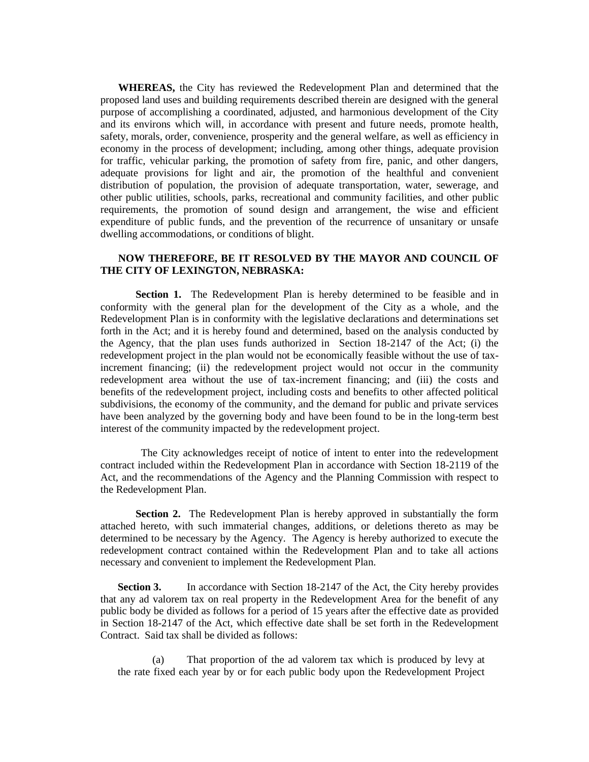**WHEREAS,** the City has reviewed the Redevelopment Plan and determined that the proposed land uses and building requirements described therein are designed with the general purpose of accomplishing a coordinated, adjusted, and harmonious development of the City and its environs which will, in accordance with present and future needs, promote health, safety, morals, order, convenience, prosperity and the general welfare, as well as efficiency in economy in the process of development; including, among other things, adequate provision for traffic, vehicular parking, the promotion of safety from fire, panic, and other dangers, adequate provisions for light and air, the promotion of the healthful and convenient distribution of population, the provision of adequate transportation, water, sewerage, and other public utilities, schools, parks, recreational and community facilities, and other public requirements, the promotion of sound design and arrangement, the wise and efficient expenditure of public funds, and the prevention of the recurrence of unsanitary or unsafe dwelling accommodations, or conditions of blight.

## **NOW THEREFORE, BE IT RESOLVED BY THE MAYOR AND COUNCIL OF THE CITY OF LEXINGTON, NEBRASKA:**

**Section 1.** The Redevelopment Plan is hereby determined to be feasible and in conformity with the general plan for the development of the City as a whole, and the Redevelopment Plan is in conformity with the legislative declarations and determinations set forth in the Act; and it is hereby found and determined, based on the analysis conducted by the Agency, that the plan uses funds authorized in Section 18-2147 of the Act; (i) the redevelopment project in the plan would not be economically feasible without the use of taxincrement financing; (ii) the redevelopment project would not occur in the community redevelopment area without the use of tax-increment financing; and (iii) the costs and benefits of the redevelopment project, including costs and benefits to other affected political subdivisions, the economy of the community, and the demand for public and private services have been analyzed by the governing body and have been found to be in the long-term best interest of the community impacted by the redevelopment project.

 The City acknowledges receipt of notice of intent to enter into the redevelopment contract included within the Redevelopment Plan in accordance with Section 18-2119 of the Act, and the recommendations of the Agency and the Planning Commission with respect to the Redevelopment Plan.

**Section 2.** The Redevelopment Plan is hereby approved in substantially the form attached hereto, with such immaterial changes, additions, or deletions thereto as may be determined to be necessary by the Agency. The Agency is hereby authorized to execute the redevelopment contract contained within the Redevelopment Plan and to take all actions necessary and convenient to implement the Redevelopment Plan.

**Section 3.** In accordance with Section 18-2147 of the Act, the City hereby provides that any ad valorem tax on real property in the Redevelopment Area for the benefit of any public body be divided as follows for a period of 15 years after the effective date as provided in Section 18-2147 of the Act, which effective date shall be set forth in the Redevelopment Contract. Said tax shall be divided as follows:

(a) That proportion of the ad valorem tax which is produced by levy at the rate fixed each year by or for each public body upon the Redevelopment Project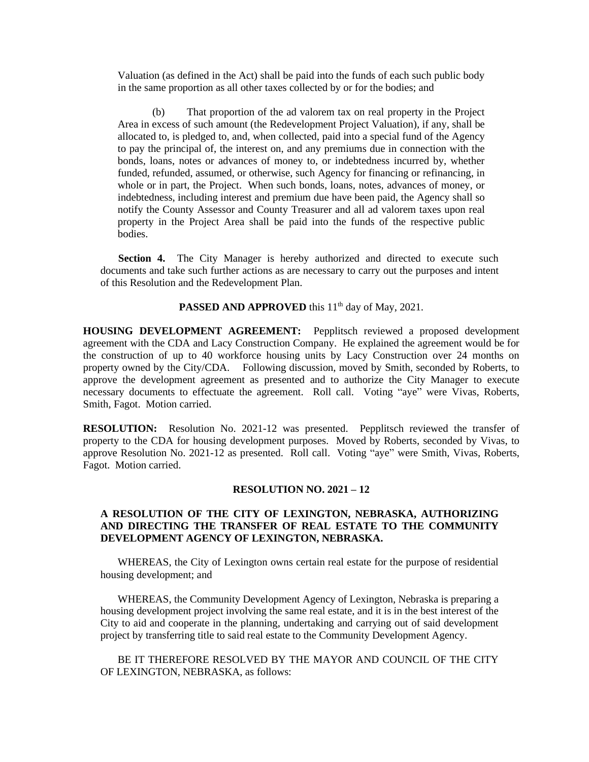Valuation (as defined in the Act) shall be paid into the funds of each such public body in the same proportion as all other taxes collected by or for the bodies; and

(b) That proportion of the ad valorem tax on real property in the Project Area in excess of such amount (the Redevelopment Project Valuation), if any, shall be allocated to, is pledged to, and, when collected, paid into a special fund of the Agency to pay the principal of, the interest on, and any premiums due in connection with the bonds, loans, notes or advances of money to, or indebtedness incurred by, whether funded, refunded, assumed, or otherwise, such Agency for financing or refinancing, in whole or in part, the Project. When such bonds, loans, notes, advances of money, or indebtedness, including interest and premium due have been paid, the Agency shall so notify the County Assessor and County Treasurer and all ad valorem taxes upon real property in the Project Area shall be paid into the funds of the respective public bodies.

**Section 4.** The City Manager is hereby authorized and directed to execute such documents and take such further actions as are necessary to carry out the purposes and intent of this Resolution and the Redevelopment Plan.

**PASSED AND APPROVED** this 11<sup>th</sup> day of May, 2021.

**HOUSING DEVELOPMENT AGREEMENT:** Pepplitsch reviewed a proposed development agreement with the CDA and Lacy Construction Company. He explained the agreement would be for the construction of up to 40 workforce housing units by Lacy Construction over 24 months on property owned by the City/CDA. Following discussion, moved by Smith, seconded by Roberts, to approve the development agreement as presented and to authorize the City Manager to execute necessary documents to effectuate the agreement. Roll call. Voting "aye" were Vivas, Roberts, Smith, Fagot. Motion carried.

**RESOLUTION:** Resolution No. 2021-12 was presented. Pepplitsch reviewed the transfer of property to the CDA for housing development purposes. Moved by Roberts, seconded by Vivas, to approve Resolution No. 2021-12 as presented. Roll call. Voting "aye" were Smith, Vivas, Roberts, Fagot. Motion carried.

#### **RESOLUTION NO. 2021 – 12**

## **A RESOLUTION OF THE CITY OF LEXINGTON, NEBRASKA, AUTHORIZING AND DIRECTING THE TRANSFER OF REAL ESTATE TO THE COMMUNITY DEVELOPMENT AGENCY OF LEXINGTON, NEBRASKA.**

WHEREAS, the City of Lexington owns certain real estate for the purpose of residential housing development; and

WHEREAS, the Community Development Agency of Lexington, Nebraska is preparing a housing development project involving the same real estate, and it is in the best interest of the City to aid and cooperate in the planning, undertaking and carrying out of said development project by transferring title to said real estate to the Community Development Agency.

BE IT THEREFORE RESOLVED BY THE MAYOR AND COUNCIL OF THE CITY OF LEXINGTON, NEBRASKA, as follows: